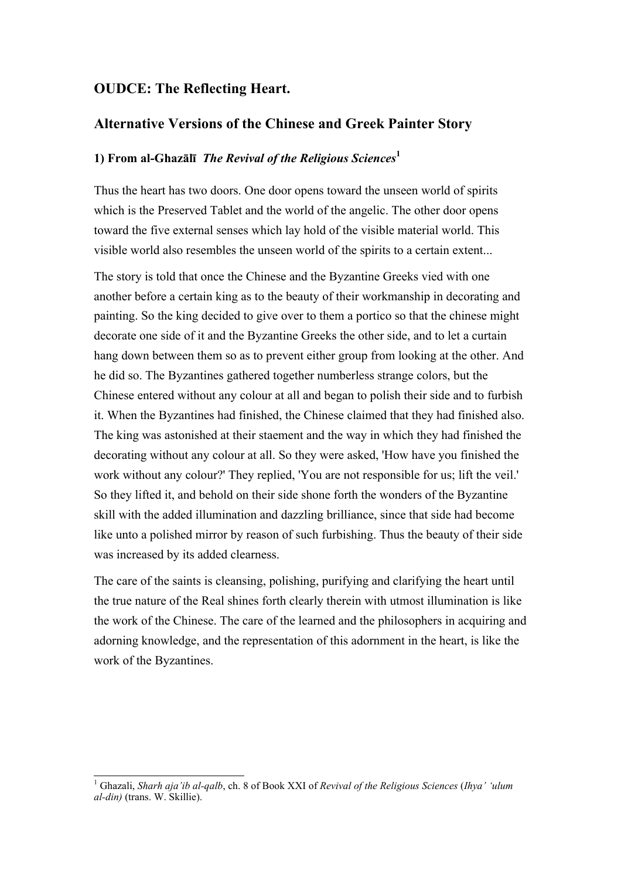## **OUDCE: The Reflecting Heart.**

## **Alternative Versions of the Chinese and Greek Painter Story**

## **1) From al-Ghazālī** *The Revival of the Religious Sciences***<sup>1</sup>**

Thus the heart has two doors. One door opens toward the unseen world of spirits which is the Preserved Tablet and the world of the angelic. The other door opens toward the five external senses which lay hold of the visible material world. This visible world also resembles the unseen world of the spirits to a certain extent...

The story is told that once the Chinese and the Byzantine Greeks vied with one another before a certain king as to the beauty of their workmanship in decorating and painting. So the king decided to give over to them a portico so that the chinese might decorate one side of it and the Byzantine Greeks the other side, and to let a curtain hang down between them so as to prevent either group from looking at the other. And he did so. The Byzantines gathered together numberless strange colors, but the Chinese entered without any colour at all and began to polish their side and to furbish it. When the Byzantines had finished, the Chinese claimed that they had finished also. The king was astonished at their staement and the way in which they had finished the decorating without any colour at all. So they were asked, 'How have you finished the work without any colour?' They replied, 'You are not responsible for us; lift the veil.' So they lifted it, and behold on their side shone forth the wonders of the Byzantine skill with the added illumination and dazzling brilliance, since that side had become like unto a polished mirror by reason of such furbishing. Thus the beauty of their side was increased by its added clearness.

The care of the saints is cleansing, polishing, purifying and clarifying the heart until the true nature of the Real shines forth clearly therein with utmost illumination is like the work of the Chinese. The care of the learned and the philosophers in acquiring and adorning knowledge, and the representation of this adornment in the heart, is like the work of the Byzantines.

1 Ghazali, *Sharh aja'ib al-qalb*, ch. 8 of Book XXI of *Revival of the Religious Sciences* (*Ihya' 'ulum al-din)* (trans. W. Skillie).